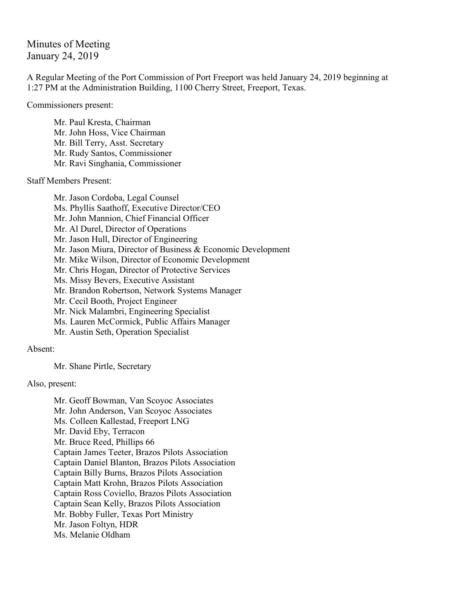Minutes of Meeting January 24, 2019

A Regular Meeting of the Port Commission of Port Freeport was held January 24, 2019 beginning at 1:27 PM at the Administration Building, 1100 Cherry Street, Freeport, Texas.

Commissioners present:

Mr. Paul Kresta, Chairman Mr. John Hoss, Vice Chairman Mr. Bill Terry, Asst. Secretary Mr. Rudy Santos, Commissioner Mr. Ravi Singhania, Commissioner

Staff Members Present:

Mr. Jason Cordoba, Legal Counsel Ms. Phyllis Saathoff, Executive Director/CEO Mr. John Mannion, Chief Financial Officer Mr. Al Durel, Director of Operations Mr. Jason Hull, Director of Engineering Mr. Jason Miura, Director of Business & Economic Development Mr. Mike Wilson, Director of Economic Development Mr. Chris Hogan, Director of Protective Services Ms. Missy Bevers, Executive Assistant Mr. Brandon Robertson, Network Systems Manager Mr. Cecil Booth, Project Engineer Mr. Nick Malambri, Engineering Specialist Ms. Lauren McCormick, Public Affairs Manager Mr. Austin Seth, Operation Specialist

Absent:

Mr. Shane Pirtle, Secretary

Also, present:

Mr. Geoff Bowman, Van Scoyoc Associates Mr. John Anderson, Van Scoyoc Associates Ms. Colleen Kallestad, Freeport LNG Mr. David Eby, Terracon Mr. Bruce Reed, Phillips 66 Captain James Teeter, Brazos Pilots Association Captain Daniel Blanton, Brazos Pilots Association Captain Billy Burns, Brazos Pilots Association Captain Matt Krohn, Brazos Pilots Association Captain Ross Coviello, Brazos Pilots Association Captain Sean Kelly, Brazos Pilots Association Mr. Bobby Fuller, Texas Port Ministry Mr. Jason Foltyn, HDR Ms. Melanie Oldham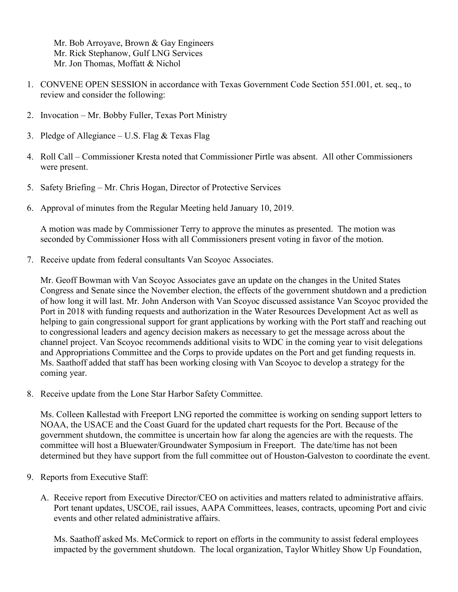Mr. Bob Arroyave, Brown & Gay Engineers Mr. Rick Stephanow, Gulf LNG Services Mr. Jon Thomas, Moffatt & Nichol

- 1. CONVENE OPEN SESSION in accordance with Texas Government Code Section 551.001, et. seq., to review and consider the following:
- 2. Invocation Mr. Bobby Fuller, Texas Port Ministry
- 3. Pledge of Allegiance U.S. Flag & Texas Flag
- 4. Roll Call Commissioner Kresta noted that Commissioner Pirtle was absent. All other Commissioners were present.
- 5. Safety Briefing Mr. Chris Hogan, Director of Protective Services
- 6. Approval of minutes from the Regular Meeting held January 10, 2019.

A motion was made by Commissioner Terry to approve the minutes as presented. The motion was seconded by Commissioner Hoss with all Commissioners present voting in favor of the motion.

7. Receive update from federal consultants Van Scoyoc Associates.

Mr. Geoff Bowman with Van Scoyoc Associates gave an update on the changes in the United States Congress and Senate since the November election, the effects of the government shutdown and a prediction of how long it will last. Mr. John Anderson with Van Scoyoc discussed assistance Van Scoyoc provided the Port in 2018 with funding requests and authorization in the Water Resources Development Act as well as helping to gain congressional support for grant applications by working with the Port staff and reaching out to congressional leaders and agency decision makers as necessary to get the message across about the channel project. Van Scoyoc recommends additional visits to WDC in the coming year to visit delegations and Appropriations Committee and the Corps to provide updates on the Port and get funding requests in. Ms. Saathoff added that staff has been working closing with Van Scoyoc to develop a strategy for the coming year.

8. Receive update from the Lone Star Harbor Safety Committee.

Ms. Colleen Kallestad with Freeport LNG reported the committee is working on sending support letters to NOAA, the USACE and the Coast Guard for the updated chart requests for the Port. Because of the government shutdown, the committee is uncertain how far along the agencies are with the requests. The committee will host a Bluewater/Groundwater Symposium in Freeport. The date/time has not been determined but they have support from the full committee out of Houston-Galveston to coordinate the event.

- 9. Reports from Executive Staff:
	- A. Receive report from Executive Director/CEO on activities and matters related to administrative affairs. Port tenant updates, USCOE, rail issues, AAPA Committees, leases, contracts, upcoming Port and civic events and other related administrative affairs.

Ms. Saathoff asked Ms. McCormick to report on efforts in the community to assist federal employees impacted by the government shutdown. The local organization, Taylor Whitley Show Up Foundation,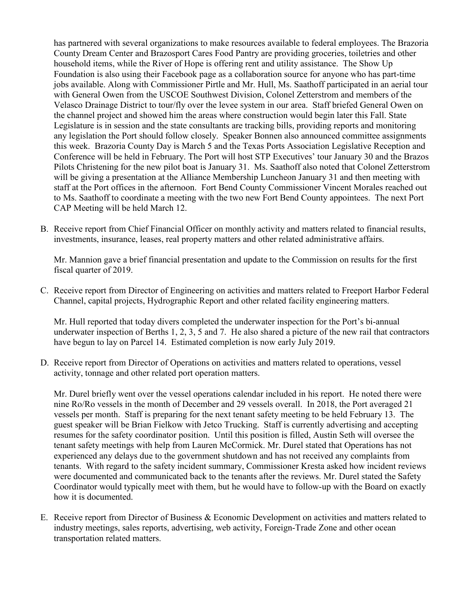has partnered with several organizations to make resources available to federal employees. The Brazoria County Dream Center and Brazosport Cares Food Pantry are providing groceries, toiletries and other household items, while the River of Hope is offering rent and utility assistance. The Show Up Foundation is also using their Facebook page as a collaboration source for anyone who has part-time jobs available. Along with Commissioner Pirtle and Mr. Hull, Ms. Saathoff participated in an aerial tour with General Owen from the USCOE Southwest Division, Colonel Zetterstrom and members of the Velasco Drainage District to tour/fly over the levee system in our area. Staff briefed General Owen on the channel project and showed him the areas where construction would begin later this Fall. State Legislature is in session and the state consultants are tracking bills, providing reports and monitoring any legislation the Port should follow closely. Speaker Bonnen also announced committee assignments this week. Brazoria County Day is March 5 and the Texas Ports Association Legislative Reception and Conference will be held in February. The Port will host STP Executives' tour January 30 and the Brazos Pilots Christening for the new pilot boat is January 31. Ms. Saathoff also noted that Colonel Zetterstrom will be giving a presentation at the Alliance Membership Luncheon January 31 and then meeting with staff at the Port offices in the afternoon. Fort Bend County Commissioner Vincent Morales reached out to Ms. Saathoff to coordinate a meeting with the two new Fort Bend County appointees. The next Port CAP Meeting will be held March 12.

B. Receive report from Chief Financial Officer on monthly activity and matters related to financial results, investments, insurance, leases, real property matters and other related administrative affairs.

Mr. Mannion gave a brief financial presentation and update to the Commission on results for the first fiscal quarter of 2019.

C. Receive report from Director of Engineering on activities and matters related to Freeport Harbor Federal Channel, capital projects, Hydrographic Report and other related facility engineering matters.

Mr. Hull reported that today divers completed the underwater inspection for the Port's bi-annual underwater inspection of Berths 1, 2, 3, 5 and 7. He also shared a picture of the new rail that contractors have begun to lay on Parcel 14. Estimated completion is now early July 2019.

D. Receive report from Director of Operations on activities and matters related to operations, vessel activity, tonnage and other related port operation matters.

Mr. Durel briefly went over the vessel operations calendar included in his report. He noted there were nine Ro/Ro vessels in the month of December and 29 vessels overall. In 2018, the Port averaged 21 vessels per month. Staff is preparing for the next tenant safety meeting to be held February 13. The guest speaker will be Brian Fielkow with Jetco Trucking. Staff is currently advertising and accepting resumes for the safety coordinator position. Until this position is filled, Austin Seth will oversee the tenant safety meetings with help from Lauren McCormick. Mr. Durel stated that Operations has not experienced any delays due to the government shutdown and has not received any complaints from tenants. With regard to the safety incident summary, Commissioner Kresta asked how incident reviews were documented and communicated back to the tenants after the reviews. Mr. Durel stated the Safety Coordinator would typically meet with them, but he would have to follow-up with the Board on exactly how it is documented.

E. Receive report from Director of Business & Economic Development on activities and matters related to industry meetings, sales reports, advertising, web activity, Foreign-Trade Zone and other ocean transportation related matters.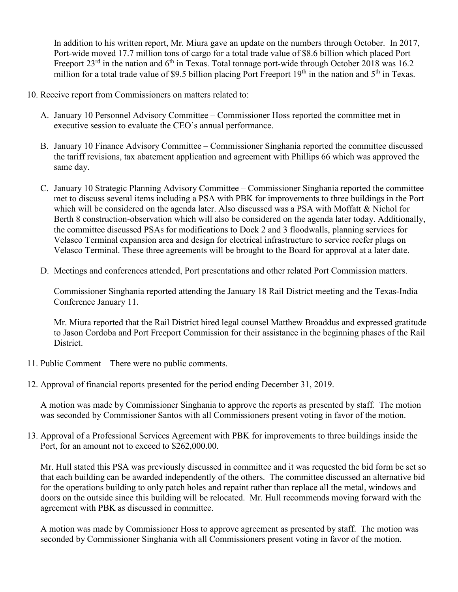In addition to his written report, Mr. Miura gave an update on the numbers through October. In 2017, Port-wide moved 17.7 million tons of cargo for a total trade value of \$8.6 billion which placed Port Freeport 23<sup>rd</sup> in the nation and 6<sup>th</sup> in Texas. Total tonnage port-wide through October 2018 was 16.2 million for a total trade value of \$9.5 billion placing Port Freeport  $19<sup>th</sup>$  in the nation and  $5<sup>th</sup>$  in Texas.

- 10. Receive report from Commissioners on matters related to:
	- A. January 10 Personnel Advisory Committee Commissioner Hoss reported the committee met in executive session to evaluate the CEO's annual performance.
	- B. January 10 Finance Advisory Committee Commissioner Singhania reported the committee discussed the tariff revisions, tax abatement application and agreement with Phillips 66 which was approved the same day.
	- C. January 10 Strategic Planning Advisory Committee Commissioner Singhania reported the committee met to discuss several items including a PSA with PBK for improvements to three buildings in the Port which will be considered on the agenda later. Also discussed was a PSA with Moffatt & Nichol for Berth 8 construction-observation which will also be considered on the agenda later today. Additionally, the committee discussed PSAs for modifications to Dock 2 and 3 floodwalls, planning services for Velasco Terminal expansion area and design for electrical infrastructure to service reefer plugs on Velasco Terminal. These three agreements will be brought to the Board for approval at a later date.
	- D. Meetings and conferences attended, Port presentations and other related Port Commission matters.

Commissioner Singhania reported attending the January 18 Rail District meeting and the Texas-India Conference January 11.

Mr. Miura reported that the Rail District hired legal counsel Matthew Broaddus and expressed gratitude to Jason Cordoba and Port Freeport Commission for their assistance in the beginning phases of the Rail District.

- 11. Public Comment There were no public comments.
- 12. Approval of financial reports presented for the period ending December 31, 2019.

A motion was made by Commissioner Singhania to approve the reports as presented by staff. The motion was seconded by Commissioner Santos with all Commissioners present voting in favor of the motion.

13. Approval of a Professional Services Agreement with PBK for improvements to three buildings inside the Port, for an amount not to exceed to \$262,000.00.

Mr. Hull stated this PSA was previously discussed in committee and it was requested the bid form be set so that each building can be awarded independently of the others. The committee discussed an alternative bid for the operations building to only patch holes and repaint rather than replace all the metal, windows and doors on the outside since this building will be relocated. Mr. Hull recommends moving forward with the agreement with PBK as discussed in committee.

A motion was made by Commissioner Hoss to approve agreement as presented by staff. The motion was seconded by Commissioner Singhania with all Commissioners present voting in favor of the motion.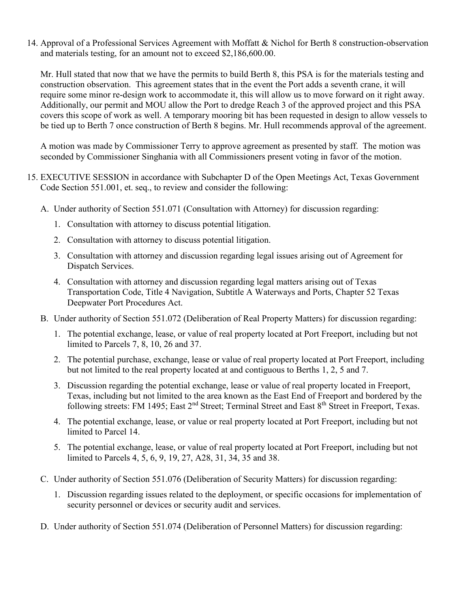14. Approval of a Professional Services Agreement with Moffatt & Nichol for Berth 8 construction-observation and materials testing, for an amount not to exceed \$2,186,600.00.

Mr. Hull stated that now that we have the permits to build Berth 8, this PSA is for the materials testing and construction observation. This agreement states that in the event the Port adds a seventh crane, it will require some minor re-design work to accommodate it, this will allow us to move forward on it right away. Additionally, our permit and MOU allow the Port to dredge Reach 3 of the approved project and this PSA covers this scope of work as well. A temporary mooring bit has been requested in design to allow vessels to be tied up to Berth 7 once construction of Berth 8 begins. Mr. Hull recommends approval of the agreement.

A motion was made by Commissioner Terry to approve agreement as presented by staff. The motion was seconded by Commissioner Singhania with all Commissioners present voting in favor of the motion.

- 15. EXECUTIVE SESSION in accordance with Subchapter D of the Open Meetings Act, Texas Government Code Section 551.001, et. seq., to review and consider the following:
	- A. Under authority of Section 551.071 (Consultation with Attorney) for discussion regarding:
		- 1. Consultation with attorney to discuss potential litigation.
		- 2. Consultation with attorney to discuss potential litigation.
		- 3. Consultation with attorney and discussion regarding legal issues arising out of Agreement for Dispatch Services.
		- 4. Consultation with attorney and discussion regarding legal matters arising out of Texas Transportation Code, Title 4 Navigation, Subtitle A Waterways and Ports, Chapter 52 Texas Deepwater Port Procedures Act.
	- B. Under authority of Section 551.072 (Deliberation of Real Property Matters) for discussion regarding:
		- 1. The potential exchange, lease, or value of real property located at Port Freeport, including but not limited to Parcels 7, 8, 10, 26 and 37.
		- 2. The potential purchase, exchange, lease or value of real property located at Port Freeport, including but not limited to the real property located at and contiguous to Berths 1, 2, 5 and 7.
		- 3. Discussion regarding the potential exchange, lease or value of real property located in Freeport, Texas, including but not limited to the area known as the East End of Freeport and bordered by the following streets: FM 1495; East 2<sup>nd</sup> Street; Terminal Street and East 8<sup>th</sup> Street in Freeport, Texas.
		- 4. The potential exchange, lease, or value or real property located at Port Freeport, including but not limited to Parcel 14.
		- 5. The potential exchange, lease, or value of real property located at Port Freeport, including but not limited to Parcels 4, 5, 6, 9, 19, 27, A28, 31, 34, 35 and 38.
	- C. Under authority of Section 551.076 (Deliberation of Security Matters) for discussion regarding:
		- 1. Discussion regarding issues related to the deployment, or specific occasions for implementation of security personnel or devices or security audit and services.
	- D. Under authority of Section 551.074 (Deliberation of Personnel Matters) for discussion regarding: